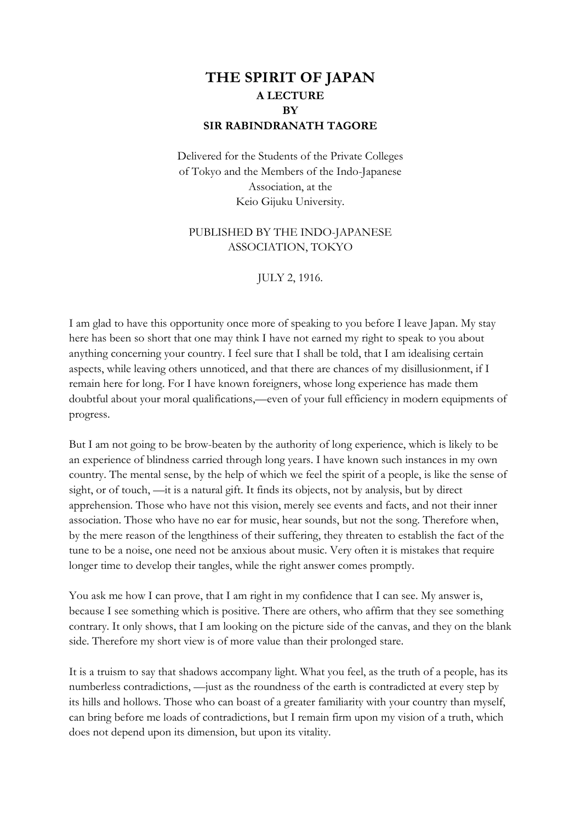## **THE SPIRIT OF JAPAN A LECTURE BY SIR RABINDRANATH TAGORE**

Delivered for the Students of the Private Colleges of Tokyo and the Members of the Indo-Japanese Association, at the Keio Gijuku University.

## PUBLISHED BY THE INDO-JAPANESE ASSOCIATION, TOKYO

JULY 2, 1916.

I am glad to have this opportunity once more of speaking to you before I leave Japan. My stay here has been so short that one may think I have not earned my right to speak to you about anything concerning your country. I feel sure that I shall be told, that I am idealising certain aspects, while leaving others unnoticed, and that there are chances of my disillusionment, if I remain here for long. For I have known foreigners, whose long experience has made them doubtful about your moral qualifications,—even of your full efficiency in modern equipments of progress.

But I am not going to be brow-beaten by the authority of long experience, which is likely to be an experience of blindness carried through long years. I have known such instances in my own country. The mental sense, by the help of which we feel the spirit of a people, is like the sense of sight, or of touch, —it is a natural gift. It finds its objects, not by analysis, but by direct apprehension. Those who have not this vision, merely see events and facts, and not their inner association. Those who have no ear for music, hear sounds, but not the song. Therefore when, by the mere reason of the lengthiness of their suffering, they threaten to establish the fact of the tune to be a noise, one need not be anxious about music. Very often it is mistakes that require longer time to develop their tangles, while the right answer comes promptly.

You ask me how I can prove, that I am right in my confidence that I can see. My answer is, because I see something which is positive. There are others, who affirm that they see something contrary. It only shows, that I am looking on the picture side of the canvas, and they on the blank side. Therefore my short view is of more value than their prolonged stare.

It is a truism to say that shadows accompany light. What you feel, as the truth of a people, has its numberless contradictions, —just as the roundness of the earth is contradicted at every step by its hills and hollows. Those who can boast of a greater familiarity with your country than myself, can bring before me loads of contradictions, but I remain firm upon my vision of a truth, which does not depend upon its dimension, but upon its vitality.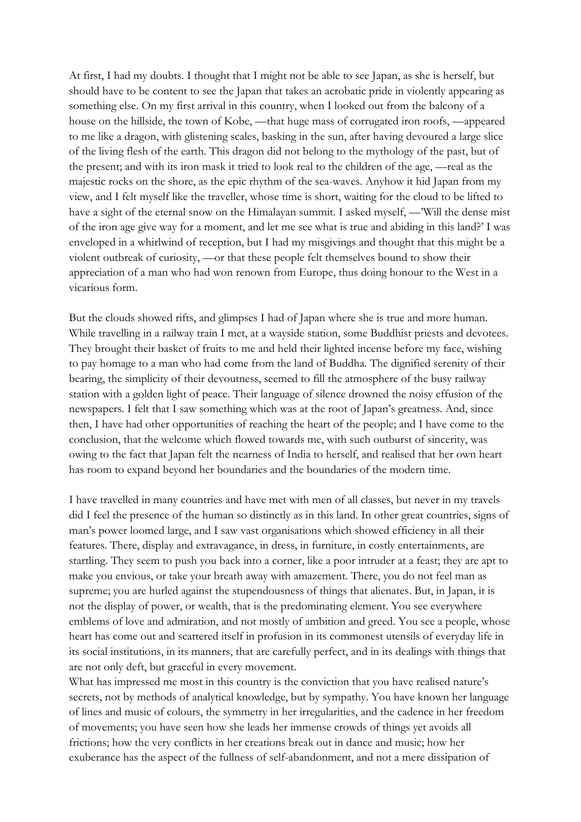At first, I had my doubts. I thought that I might not be able to see Japan, as she is herself, but should have to be content to see the Japan that takes an acrobatic pride in violently appearing as something else. On my first arrival in this country, when I looked out from the balcony of a house on the hillside, the town of Kobe, —that huge mass of corrugated iron roofs, —appeared to me like a dragon, with glistening scales, basking in the sun, after having devoured a large slice of the living flesh of the earth. This dragon did not belong to the mythology of the past, but of the present; and with its iron mask it tried to look real to the children of the age, —real as the majestic rocks on the shore, as the epic rhythm of the sea-waves. Anyhow it hid Japan from my view, and I felt myself like the traveller, whose time is short, waiting for the cloud to be lifted to have a sight of the eternal snow on the Himalayan summit. I asked myself, —'Will the dense mist of the iron age give way for a moment, and let me see what is true and abiding in this land?' I was enveloped in a whirlwind of reception, but I had my misgivings and thought that this might be a violent outbreak of curiosity, —or that these people felt themselves bound to show their appreciation of a man who had won renown from Europe, thus doing honour to the West in a vicarious form.

But the clouds showed rifts, and glimpses I had of Japan where she is true and more human. While travelling in a railway train I met, at a wayside station, some Buddhist priests and devotees. They brought their basket of fruits to me and held their lighted incense before my face, wishing to pay homage to a man who had come from the land of Buddha. The dignified serenity of their bearing, the simplicity of their devoutness, seemed to fill the atmosphere of the busy railway station with a golden light of peace. Their language of silence drowned the noisy effusion of the newspapers. I felt that I saw something which was at the root of Japan's greatness. And, since then, I have had other opportunities of reaching the heart of the people; and I have come to the conclusion, that the welcome which flowed towards me, with such outburst of sincerity, was owing to the fact that Japan felt the nearness of India to herself, and realised that her own heart has room to expand beyond her boundaries and the boundaries of the modern time.

I have travelled in many countries and have met with men of all classes, but never in my travels did I feel the presence of the human so distinctly as in this land. In other great countries, signs of man's power loomed large, and I saw vast organisations which showed efficiency in all their features. There, display and extravagance, in dress, in furniture, in costly entertainments, are startling. They seem to push you back into a corner, like a poor intruder at a feast; they are apt to make you envious, or take your breath away with amazement. There, you do not feel man as supreme; you are hurled against the stupendousness of things that alienates. But, in Japan, it is not the display of power, or wealth, that is the predominating element. You see everywhere emblems of love and admiration, and not mostly of ambition and greed. You see a people, whose heart has come out and scattered itself in profusion in its commonest utensils of everyday life in its social institutions, in its manners, that are carefully perfect, and in its dealings with things that are not only deft, but graceful in every movement.

What has impressed me most in this country is the conviction that you have realised nature's secrets, not by methods of analytical knowledge, but by sympathy. You have known her language of lines and music of colours, the symmetry in her irregularities, and the cadence in her freedom of movements; you have seen how she leads her immense crowds of things yet avoids all frictions; how the very conflicts in her creations break out in dance and music; how her exuberance has the aspect of the fullness of self-abandonment, and not a mere dissipation of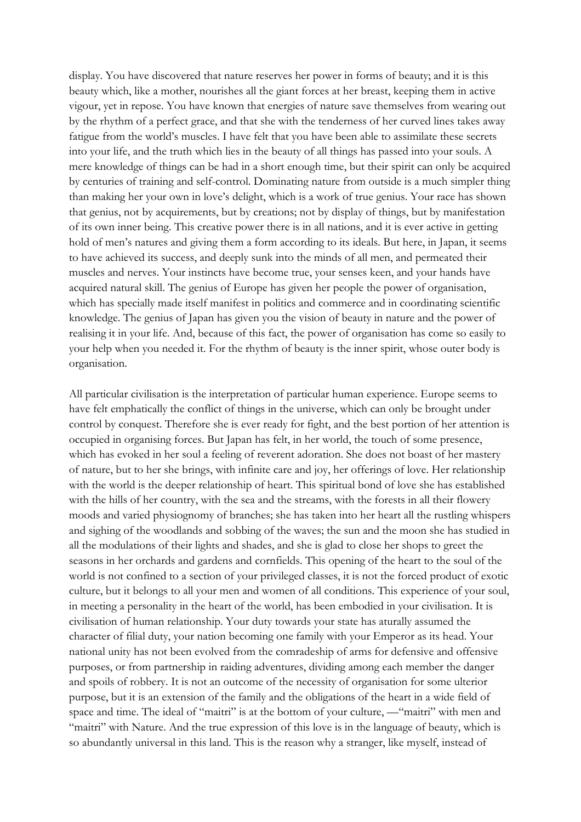display. You have discovered that nature reserves her power in forms of beauty; and it is this beauty which, like a mother, nourishes all the giant forces at her breast, keeping them in active vigour, yet in repose. You have known that energies of nature save themselves from wearing out by the rhythm of a perfect grace, and that she with the tenderness of her curved lines takes away fatigue from the world's muscles. I have felt that you have been able to assimilate these secrets into your life, and the truth which lies in the beauty of all things has passed into your souls. A mere knowledge of things can be had in a short enough time, but their spirit can only be acquired by centuries of training and self-control. Dominating nature from outside is a much simpler thing than making her your own in love's delight, which is a work of true genius. Your race has shown that genius, not by acquirements, but by creations; not by display of things, but by manifestation of its own inner being. This creative power there is in all nations, and it is ever active in getting hold of men's natures and giving them a form according to its ideals. But here, in Japan, it seems to have achieved its success, and deeply sunk into the minds of all men, and permeated their muscles and nerves. Your instincts have become true, your senses keen, and your hands have acquired natural skill. The genius of Europe has given her people the power of organisation, which has specially made itself manifest in politics and commerce and in coordinating scientific knowledge. The genius of Japan has given you the vision of beauty in nature and the power of realising it in your life. And, because of this fact, the power of organisation has come so easily to your help when you needed it. For the rhythm of beauty is the inner spirit, whose outer body is organisation.

All particular civilisation is the interpretation of particular human experience. Europe seems to have felt emphatically the conflict of things in the universe, which can only be brought under control by conquest. Therefore she is ever ready for fight, and the best portion of her attention is occupied in organising forces. But Japan has felt, in her world, the touch of some presence, which has evoked in her soul a feeling of reverent adoration. She does not boast of her mastery of nature, but to her she brings, with infinite care and joy, her offerings of love. Her relationship with the world is the deeper relationship of heart. This spiritual bond of love she has established with the hills of her country, with the sea and the streams, with the forests in all their flowery moods and varied physiognomy of branches; she has taken into her heart all the rustling whispers and sighing of the woodlands and sobbing of the waves; the sun and the moon she has studied in all the modulations of their lights and shades, and she is glad to close her shops to greet the seasons in her orchards and gardens and cornfields. This opening of the heart to the soul of the world is not confined to a section of your privileged classes, it is not the forced product of exotic culture, but it belongs to all your men and women of all conditions. This experience of your soul, in meeting a personality in the heart of the world, has been embodied in your civilisation. It is civilisation of human relationship. Your duty towards your state has aturally assumed the character of filial duty, your nation becoming one family with your Emperor as its head. Your national unity has not been evolved from the comradeship of arms for defensive and offensive purposes, or from partnership in raiding adventures, dividing among each member the danger and spoils of robbery. It is not an outcome of the necessity of organisation for some ulterior purpose, but it is an extension of the family and the obligations of the heart in a wide field of space and time. The ideal of "maitri" is at the bottom of your culture, —"maitri" with men and "maitri" with Nature. And the true expression of this love is in the language of beauty, which is so abundantly universal in this land. This is the reason why a stranger, like myself, instead of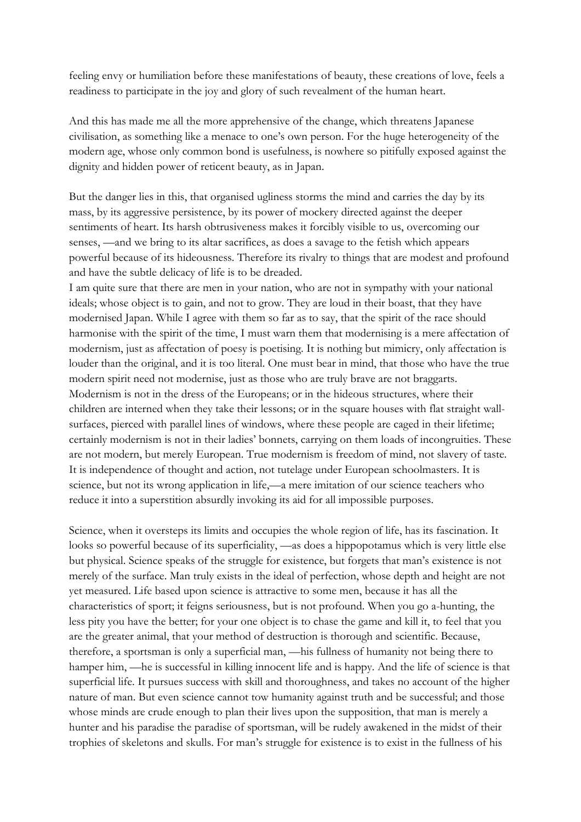feeling envy or humiliation before these manifestations of beauty, these creations of love, feels a readiness to participate in the joy and glory of such revealment of the human heart.

And this has made me all the more apprehensive of the change, which threatens Japanese civilisation, as something like a menace to one's own person. For the huge heterogeneity of the modern age, whose only common bond is usefulness, is nowhere so pitifully exposed against the dignity and hidden power of reticent beauty, as in Japan.

But the danger lies in this, that organised ugliness storms the mind and carries the day by its mass, by its aggressive persistence, by its power of mockery directed against the deeper sentiments of heart. Its harsh obtrusiveness makes it forcibly visible to us, overcoming our senses, —and we bring to its altar sacrifices, as does a savage to the fetish which appears powerful because of its hideousness. Therefore its rivalry to things that are modest and profound and have the subtle delicacy of life is to be dreaded.

I am quite sure that there are men in your nation, who are not in sympathy with your national ideals; whose object is to gain, and not to grow. They are loud in their boast, that they have modernised Japan. While I agree with them so far as to say, that the spirit of the race should harmonise with the spirit of the time, I must warn them that modernising is a mere affectation of modernism, just as affectation of poesy is poetising. It is nothing but mimicry, only affectation is louder than the original, and it is too literal. One must bear in mind, that those who have the true modern spirit need not modernise, just as those who are truly brave are not braggarts. Modernism is not in the dress of the Europeans; or in the hideous structures, where their children are interned when they take their lessons; or in the square houses with flat straight wallsurfaces, pierced with parallel lines of windows, where these people are caged in their lifetime; certainly modernism is not in their ladies' bonnets, carrying on them loads of incongruities. These are not modern, but merely European. True modernism is freedom of mind, not slavery of taste. It is independence of thought and action, not tutelage under European schoolmasters. It is science, but not its wrong application in life,—a mere imitation of our science teachers who reduce it into a superstition absurdly invoking its aid for all impossible purposes.

Science, when it oversteps its limits and occupies the whole region of life, has its fascination. It looks so powerful because of its superficiality, —as does a hippopotamus which is very little else but physical. Science speaks of the struggle for existence, but forgets that man's existence is not merely of the surface. Man truly exists in the ideal of perfection, whose depth and height are not yet measured. Life based upon science is attractive to some men, because it has all the characteristics of sport; it feigns seriousness, but is not profound. When you go a-hunting, the less pity you have the better; for your one object is to chase the game and kill it, to feel that you are the greater animal, that your method of destruction is thorough and scientific. Because, therefore, a sportsman is only a superficial man, —his fullness of humanity not being there to hamper him, —he is successful in killing innocent life and is happy. And the life of science is that superficial life. It pursues success with skill and thoroughness, and takes no account of the higher nature of man. But even science cannot tow humanity against truth and be successful; and those whose minds are crude enough to plan their lives upon the supposition, that man is merely a hunter and his paradise the paradise of sportsman, will be rudely awakened in the midst of their trophies of skeletons and skulls. For man's struggle for existence is to exist in the fullness of his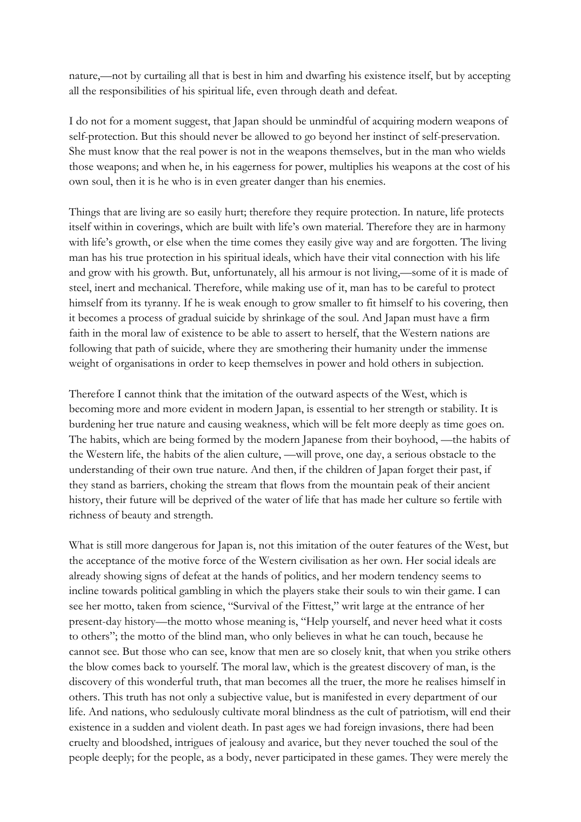nature,—not by curtailing all that is best in him and dwarfing his existence itself, but by accepting all the responsibilities of his spiritual life, even through death and defeat.

I do not for a moment suggest, that Japan should be unmindful of acquiring modern weapons of self-protection. But this should never be allowed to go beyond her instinct of self-preservation. She must know that the real power is not in the weapons themselves, but in the man who wields those weapons; and when he, in his eagerness for power, multiplies his weapons at the cost of his own soul, then it is he who is in even greater danger than his enemies.

Things that are living are so easily hurt; therefore they require protection. In nature, life protects itself within in coverings, which are built with life's own material. Therefore they are in harmony with life's growth, or else when the time comes they easily give way and are forgotten. The living man has his true protection in his spiritual ideals, which have their vital connection with his life and grow with his growth. But, unfortunately, all his armour is not living,—some of it is made of steel, inert and mechanical. Therefore, while making use of it, man has to be careful to protect himself from its tyranny. If he is weak enough to grow smaller to fit himself to his covering, then it becomes a process of gradual suicide by shrinkage of the soul. And Japan must have a firm faith in the moral law of existence to be able to assert to herself, that the Western nations are following that path of suicide, where they are smothering their humanity under the immense weight of organisations in order to keep themselves in power and hold others in subjection.

Therefore I cannot think that the imitation of the outward aspects of the West, which is becoming more and more evident in modern Japan, is essential to her strength or stability. It is burdening her true nature and causing weakness, which will be felt more deeply as time goes on. The habits, which are being formed by the modern Japanese from their boyhood, —the habits of the Western life, the habits of the alien culture, —will prove, one day, a serious obstacle to the understanding of their own true nature. And then, if the children of Japan forget their past, if they stand as barriers, choking the stream that flows from the mountain peak of their ancient history, their future will be deprived of the water of life that has made her culture so fertile with richness of beauty and strength.

What is still more dangerous for Japan is, not this imitation of the outer features of the West, but the acceptance of the motive force of the Western civilisation as her own. Her social ideals are already showing signs of defeat at the hands of politics, and her modern tendency seems to incline towards political gambling in which the players stake their souls to win their game. I can see her motto, taken from science, "Survival of the Fittest," writ large at the entrance of her present-day history—the motto whose meaning is, "Help yourself, and never heed what it costs to others"; the motto of the blind man, who only believes in what he can touch, because he cannot see. But those who can see, know that men are so closely knit, that when you strike others the blow comes back to yourself. The moral law, which is the greatest discovery of man, is the discovery of this wonderful truth, that man becomes all the truer, the more he realises himself in others. This truth has not only a subjective value, but is manifested in every department of our life. And nations, who sedulously cultivate moral blindness as the cult of patriotism, will end their existence in a sudden and violent death. In past ages we had foreign invasions, there had been cruelty and bloodshed, intrigues of jealousy and avarice, but they never touched the soul of the people deeply; for the people, as a body, never participated in these games. They were merely the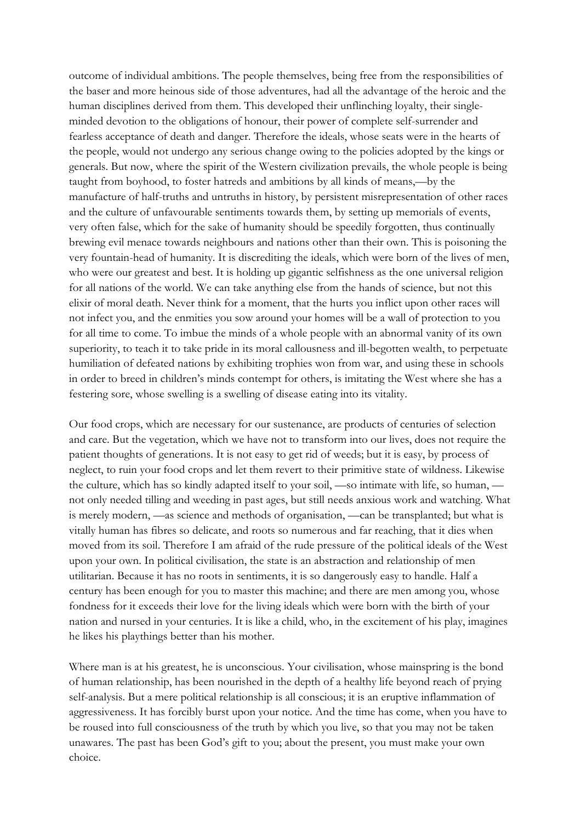outcome of individual ambitions. The people themselves, being free from the responsibilities of the baser and more heinous side of those adventures, had all the advantage of the heroic and the human disciplines derived from them. This developed their unflinching loyalty, their singleminded devotion to the obligations of honour, their power of complete self-surrender and fearless acceptance of death and danger. Therefore the ideals, whose seats were in the hearts of the people, would not undergo any serious change owing to the policies adopted by the kings or generals. But now, where the spirit of the Western civilization prevails, the whole people is being taught from boyhood, to foster hatreds and ambitions by all kinds of means,—by the manufacture of half-truths and untruths in history, by persistent misrepresentation of other races and the culture of unfavourable sentiments towards them, by setting up memorials of events, very often false, which for the sake of humanity should be speedily forgotten, thus continually brewing evil menace towards neighbours and nations other than their own. This is poisoning the very fountain-head of humanity. It is discrediting the ideals, which were born of the lives of men, who were our greatest and best. It is holding up gigantic selfishness as the one universal religion for all nations of the world. We can take anything else from the hands of science, but not this elixir of moral death. Never think for a moment, that the hurts you inflict upon other races will not infect you, and the enmities you sow around your homes will be a wall of protection to you for all time to come. To imbue the minds of a whole people with an abnormal vanity of its own superiority, to teach it to take pride in its moral callousness and ill-begotten wealth, to perpetuate humiliation of defeated nations by exhibiting trophies won from war, and using these in schools in order to breed in children's minds contempt for others, is imitating the West where she has a festering sore, whose swelling is a swelling of disease eating into its vitality.

Our food crops, which are necessary for our sustenance, are products of centuries of selection and care. But the vegetation, which we have not to transform into our lives, does not require the patient thoughts of generations. It is not easy to get rid of weeds; but it is easy, by process of neglect, to ruin your food crops and let them revert to their primitive state of wildness. Likewise the culture, which has so kindly adapted itself to your soil, —so intimate with life, so human, not only needed tilling and weeding in past ages, but still needs anxious work and watching. What is merely modern, —as science and methods of organisation, —can be transplanted; but what is vitally human has fibres so delicate, and roots so numerous and far reaching, that it dies when moved from its soil. Therefore I am afraid of the rude pressure of the political ideals of the West upon your own. In political civilisation, the state is an abstraction and relationship of men utilitarian. Because it has no roots in sentiments, it is so dangerously easy to handle. Half a century has been enough for you to master this machine; and there are men among you, whose fondness for it exceeds their love for the living ideals which were born with the birth of your nation and nursed in your centuries. It is like a child, who, in the excitement of his play, imagines he likes his playthings better than his mother.

Where man is at his greatest, he is unconscious. Your civilisation, whose mainspring is the bond of human relationship, has been nourished in the depth of a healthy life beyond reach of prying self-analysis. But a mere political relationship is all conscious; it is an eruptive inflammation of aggressiveness. It has forcibly burst upon your notice. And the time has come, when you have to be roused into full consciousness of the truth by which you live, so that you may not be taken unawares. The past has been God's gift to you; about the present, you must make your own choice.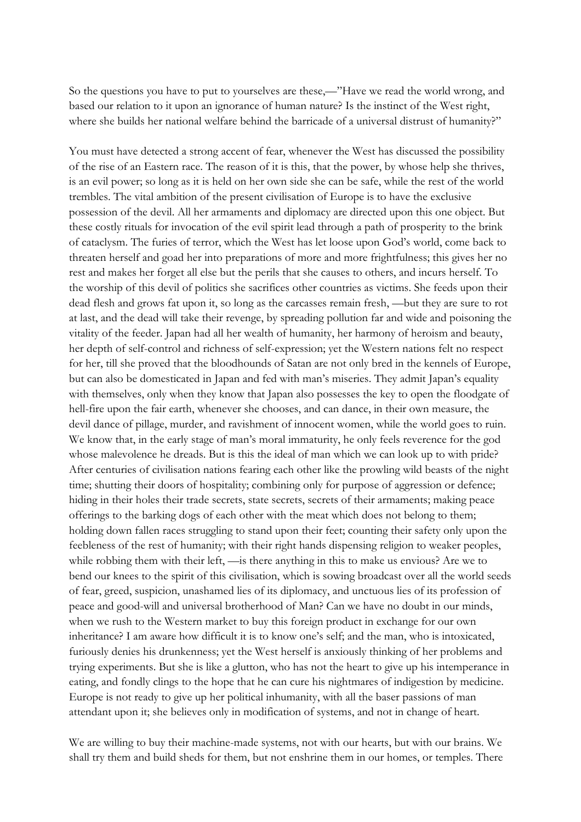So the questions you have to put to yourselves are these,—"Have we read the world wrong, and based our relation to it upon an ignorance of human nature? Is the instinct of the West right, where she builds her national welfare behind the barricade of a universal distrust of humanity?"

You must have detected a strong accent of fear, whenever the West has discussed the possibility of the rise of an Eastern race. The reason of it is this, that the power, by whose help she thrives, is an evil power; so long as it is held on her own side she can be safe, while the rest of the world trembles. The vital ambition of the present civilisation of Europe is to have the exclusive possession of the devil. All her armaments and diplomacy are directed upon this one object. But these costly rituals for invocation of the evil spirit lead through a path of prosperity to the brink of cataclysm. The furies of terror, which the West has let loose upon God's world, come back to threaten herself and goad her into preparations of more and more frightfulness; this gives her no rest and makes her forget all else but the perils that she causes to others, and incurs herself. To the worship of this devil of politics she sacrifices other countries as victims. She feeds upon their dead flesh and grows fat upon it, so long as the carcasses remain fresh, —but they are sure to rot at last, and the dead will take their revenge, by spreading pollution far and wide and poisoning the vitality of the feeder. Japan had all her wealth of humanity, her harmony of heroism and beauty, her depth of self-control and richness of self-expression; yet the Western nations felt no respect for her, till she proved that the bloodhounds of Satan are not only bred in the kennels of Europe, but can also be domesticated in Japan and fed with man's miseries. They admit Japan's equality with themselves, only when they know that Japan also possesses the key to open the floodgate of hell-fire upon the fair earth, whenever she chooses, and can dance, in their own measure, the devil dance of pillage, murder, and ravishment of innocent women, while the world goes to ruin. We know that, in the early stage of man's moral immaturity, he only feels reverence for the god whose malevolence he dreads. But is this the ideal of man which we can look up to with pride? After centuries of civilisation nations fearing each other like the prowling wild beasts of the night time; shutting their doors of hospitality; combining only for purpose of aggression or defence; hiding in their holes their trade secrets, state secrets, secrets of their armaments; making peace offerings to the barking dogs of each other with the meat which does not belong to them; holding down fallen races struggling to stand upon their feet; counting their safety only upon the feebleness of the rest of humanity; with their right hands dispensing religion to weaker peoples, while robbing them with their left, —is there anything in this to make us envious? Are we to bend our knees to the spirit of this civilisation, which is sowing broadcast over all the world seeds of fear, greed, suspicion, unashamed lies of its diplomacy, and unctuous lies of its profession of peace and good-will and universal brotherhood of Man? Can we have no doubt in our minds, when we rush to the Western market to buy this foreign product in exchange for our own inheritance? I am aware how difficult it is to know one's self; and the man, who is intoxicated, furiously denies his drunkenness; yet the West herself is anxiously thinking of her problems and trying experiments. But she is like a glutton, who has not the heart to give up his intemperance in eating, and fondly clings to the hope that he can cure his nightmares of indigestion by medicine. Europe is not ready to give up her political inhumanity, with all the baser passions of man attendant upon it; she believes only in modification of systems, and not in change of heart.

We are willing to buy their machine-made systems, not with our hearts, but with our brains. We shall try them and build sheds for them, but not enshrine them in our homes, or temples. There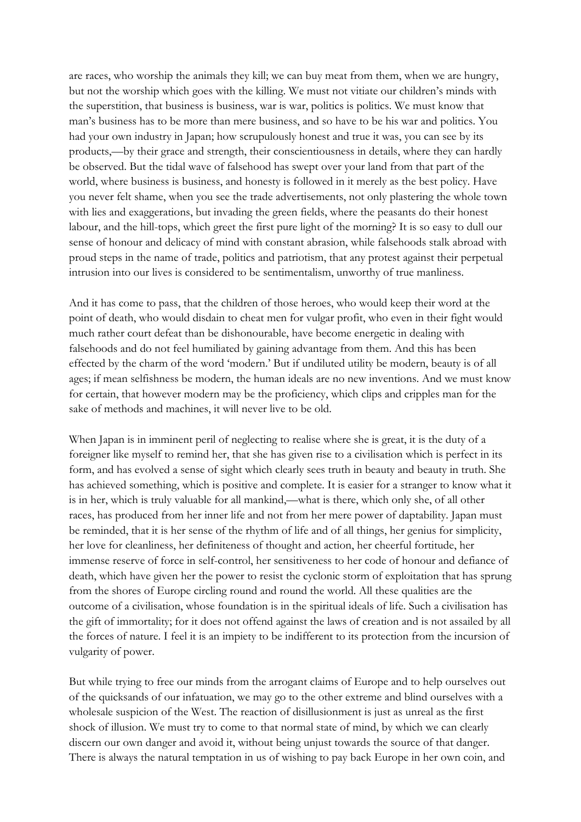are races, who worship the animals they kill; we can buy meat from them, when we are hungry, but not the worship which goes with the killing. We must not vitiate our children's minds with the superstition, that business is business, war is war, politics is politics. We must know that man's business has to be more than mere business, and so have to be his war and politics. You had your own industry in Japan; how scrupulously honest and true it was, you can see by its products,—by their grace and strength, their conscientiousness in details, where they can hardly be observed. But the tidal wave of falsehood has swept over your land from that part of the world, where business is business, and honesty is followed in it merely as the best policy. Have you never felt shame, when you see the trade advertisements, not only plastering the whole town with lies and exaggerations, but invading the green fields, where the peasants do their honest labour, and the hill-tops, which greet the first pure light of the morning? It is so easy to dull our sense of honour and delicacy of mind with constant abrasion, while falsehoods stalk abroad with proud steps in the name of trade, politics and patriotism, that any protest against their perpetual intrusion into our lives is considered to be sentimentalism, unworthy of true manliness.

And it has come to pass, that the children of those heroes, who would keep their word at the point of death, who would disdain to cheat men for vulgar profit, who even in their fight would much rather court defeat than be dishonourable, have become energetic in dealing with falsehoods and do not feel humiliated by gaining advantage from them. And this has been effected by the charm of the word 'modern.' But if undiluted utility be modern, beauty is of all ages; if mean selfishness be modern, the human ideals are no new inventions. And we must know for certain, that however modern may be the proficiency, which clips and cripples man for the sake of methods and machines, it will never live to be old.

When Japan is in imminent peril of neglecting to realise where she is great, it is the duty of a foreigner like myself to remind her, that she has given rise to a civilisation which is perfect in its form, and has evolved a sense of sight which clearly sees truth in beauty and beauty in truth. She has achieved something, which is positive and complete. It is easier for a stranger to know what it is in her, which is truly valuable for all mankind,—what is there, which only she, of all other races, has produced from her inner life and not from her mere power of daptability. Japan must be reminded, that it is her sense of the rhythm of life and of all things, her genius for simplicity, her love for cleanliness, her definiteness of thought and action, her cheerful fortitude, her immense reserve of force in self-control, her sensitiveness to her code of honour and defiance of death, which have given her the power to resist the cyclonic storm of exploitation that has sprung from the shores of Europe circling round and round the world. All these qualities are the outcome of a civilisation, whose foundation is in the spiritual ideals of life. Such a civilisation has the gift of immortality; for it does not offend against the laws of creation and is not assailed by all the forces of nature. I feel it is an impiety to be indifferent to its protection from the incursion of vulgarity of power.

But while trying to free our minds from the arrogant claims of Europe and to help ourselves out of the quicksands of our infatuation, we may go to the other extreme and blind ourselves with a wholesale suspicion of the West. The reaction of disillusionment is just as unreal as the first shock of illusion. We must try to come to that normal state of mind, by which we can clearly discern our own danger and avoid it, without being unjust towards the source of that danger. There is always the natural temptation in us of wishing to pay back Europe in her own coin, and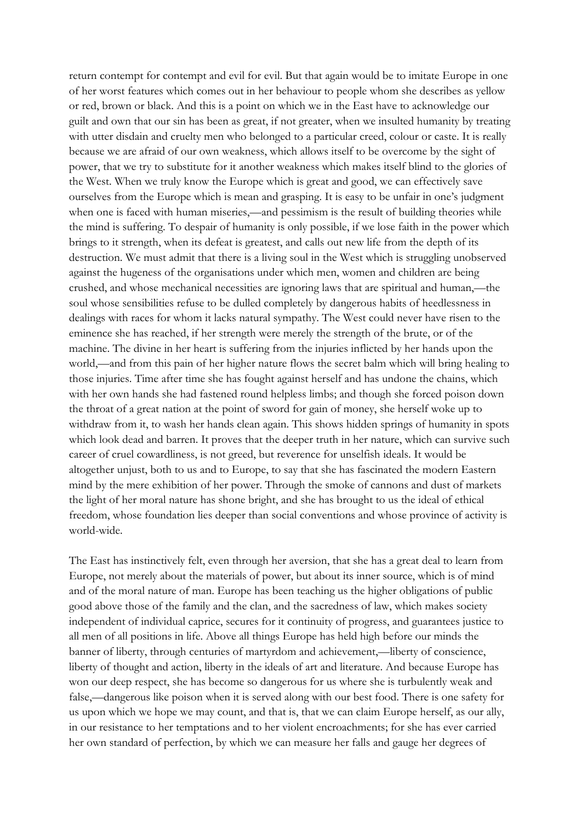return contempt for contempt and evil for evil. But that again would be to imitate Europe in one of her worst features which comes out in her behaviour to people whom she describes as yellow or red, brown or black. And this is a point on which we in the East have to acknowledge our guilt and own that our sin has been as great, if not greater, when we insulted humanity by treating with utter disdain and cruelty men who belonged to a particular creed, colour or caste. It is really because we are afraid of our own weakness, which allows itself to be overcome by the sight of power, that we try to substitute for it another weakness which makes itself blind to the glories of the West. When we truly know the Europe which is great and good, we can effectively save ourselves from the Europe which is mean and grasping. It is easy to be unfair in one's judgment when one is faced with human miseries,—and pessimism is the result of building theories while the mind is suffering. To despair of humanity is only possible, if we lose faith in the power which brings to it strength, when its defeat is greatest, and calls out new life from the depth of its destruction. We must admit that there is a living soul in the West which is struggling unobserved against the hugeness of the organisations under which men, women and children are being crushed, and whose mechanical necessities are ignoring laws that are spiritual and human,—the soul whose sensibilities refuse to be dulled completely by dangerous habits of heedlessness in dealings with races for whom it lacks natural sympathy. The West could never have risen to the eminence she has reached, if her strength were merely the strength of the brute, or of the machine. The divine in her heart is suffering from the injuries inflicted by her hands upon the world,—and from this pain of her higher nature flows the secret balm which will bring healing to those injuries. Time after time she has fought against herself and has undone the chains, which with her own hands she had fastened round helpless limbs; and though she forced poison down the throat of a great nation at the point of sword for gain of money, she herself woke up to withdraw from it, to wash her hands clean again. This shows hidden springs of humanity in spots which look dead and barren. It proves that the deeper truth in her nature, which can survive such career of cruel cowardliness, is not greed, but reverence for unselfish ideals. It would be altogether unjust, both to us and to Europe, to say that she has fascinated the modern Eastern mind by the mere exhibition of her power. Through the smoke of cannons and dust of markets the light of her moral nature has shone bright, and she has brought to us the ideal of ethical freedom, whose foundation lies deeper than social conventions and whose province of activity is world-wide.

The East has instinctively felt, even through her aversion, that she has a great deal to learn from Europe, not merely about the materials of power, but about its inner source, which is of mind and of the moral nature of man. Europe has been teaching us the higher obligations of public good above those of the family and the clan, and the sacredness of law, which makes society independent of individual caprice, secures for it continuity of progress, and guarantees justice to all men of all positions in life. Above all things Europe has held high before our minds the banner of liberty, through centuries of martyrdom and achievement,—liberty of conscience, liberty of thought and action, liberty in the ideals of art and literature. And because Europe has won our deep respect, she has become so dangerous for us where she is turbulently weak and false,—dangerous like poison when it is served along with our best food. There is one safety for us upon which we hope we may count, and that is, that we can claim Europe herself, as our ally, in our resistance to her temptations and to her violent encroachments; for she has ever carried her own standard of perfection, by which we can measure her falls and gauge her degrees of